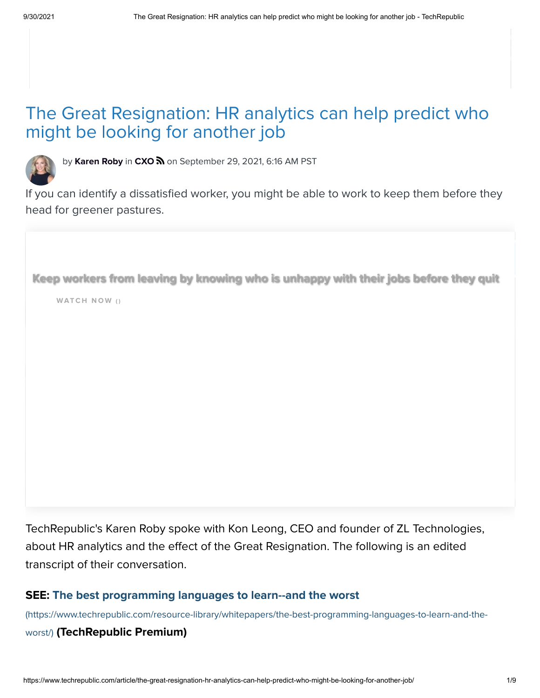# The Great Resignation: HR analytics can help predict who might be looking for another job



by [Karen Roby](https://www.techrepublic.com/meet-the-team/us/karen-roby/) in  $\text{C}XO\text{ }\Omega$  on September 29, 2021, 6:16 AM PST

If you can identify a dissatisfied worker, you might be able to work to keep them before they head for greener pastures.

Keep workers from leaving by knowing who is unhappy with their jobs before they quit

WATCH NOW ()

TechRepublic's Karen Roby spoke with Kon Leong, CEO and founder of ZL Technologies, about HR analytics and the effect of the Great Resignation. The following is an edited transcript of their conversation.

## SEE: The best programming languages to learn--and the worst

[\(https://www.techrepublic.com/resource-library/whitepapers/the-best-programming-languages-to-learn-and-the-](https://www.techrepublic.com/resource-library/whitepapers/the-best-programming-languages-to-learn-and-the-worst/)

### worst/) (TechRepublic Premium)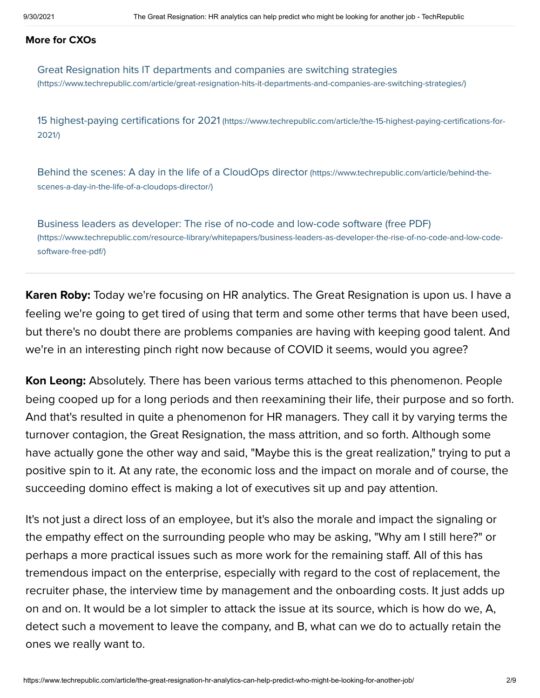#### More for CXOs

[Great Resignation hits IT departments and companies are switching strategies](https://www.techrepublic.com/article/great-resignation-hits-it-departments-and-companies-are-switching-strategies/) (https://www.techrepublic.com/article/great-resignation-hits-it-departments-and-companies-are-switching-strategies/)

15 highest-paying certifications for 2021 [\(https://www.techrepublic.com/article/the-15-highest-paying-certifications-for-](https://www.techrepublic.com/article/the-15-highest-paying-certifications-for-2021/)2021/)

[Behind the scenes: A day in the life of a CloudOps director](https://www.techrepublic.com/article/behind-the-scenes-a-day-in-the-life-of-a-cloudops-director/) (https://www.techrepublic.com/article/behind-thescenes-a-day-in-the-life-of-a-cloudops-director/)

[Business leaders as developer: The rise of no-code and low-code software \(free PDF\)](https://www.techrepublic.com/resource-library/whitepapers/business-leaders-as-developer-the-rise-of-no-code-and-low-code-software-free-pdf/) (https://www.techrepublic.com/resource-library/whitepapers/business-leaders-as-developer-the-rise-of-no-code-and-low-codesoftware-free-pdf/)

**Karen Roby:** Today we're focusing on HR analytics. The Great Resignation is upon us. I have a feeling we're going to get tired of using that term and some other terms that have been used, but there's no doubt there are problems companies are having with keeping good talent. And we're in an interesting pinch right now because of COVID it seems, would you agree?

**Kon Leong:** Absolutely. There has been various terms attached to this phenomenon. People being cooped up for a long periods and then reexamining their life, their purpose and so forth. And that's resulted in quite a phenomenon for HR managers. They call it by varying terms the turnover contagion, the Great Resignation, the mass attrition, and so forth. Although some have actually gone the other way and said, "Maybe this is the great realization," trying to put a positive spin to it. At any rate, the economic loss and the impact on morale and of course, the succeeding domino effect is making a lot of executives sit up and pay attention.

It's not just a direct loss of an employee, but it's also the morale and impact the signaling or the empathy effect on the surrounding people who may be asking, "Why am I still here?" or perhaps a more practical issues such as more work for the remaining staff. All of this has tremendous impact on the enterprise, especially with regard to the cost of replacement, the recruiter phase, the interview time by management and the onboarding costs. It just adds up on and on. It would be a lot simpler to attack the issue at its source, which is how do we, A, detect such a movement to leave the company, and B, what can we do to actually retain the ones we really want to.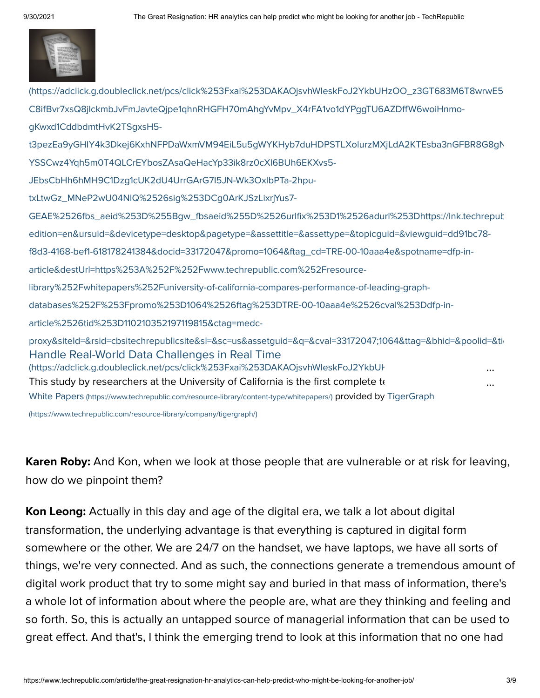

Handle Real-World Data Challenges in Real Time (https://adclick.g.doubleclick.net/pcs/click%253Fxai%253DAKAOjsvhWleskFoJ2YkbUI This study by researchers at the University of California is the first complete te (https://adclick.g.doubleclick.net/pcs/click%253Fxai%253DAKAOjsvhWleskFoJ2YkbUHzOO\_z3GT683M6T8wrwE5 C8ifBvr7xsQ8jlckmbJvFmJavteQjpe1qhnRHGFH70mAhgYvMpv\_X4rFA1vo1dYPggTU6AZDffW6woiHnmogKwxd1CddbdmtHvK2TSgxsH5 t3pezEa9yGHIY4k3Dkej6KxhNFPDaWxmVM94EiL5u5gWYKHyb7duHDPSTLXolurzMXjLdA2KTEsba3nGFBR8G8gN YSSCwz4Yqh5m0T4QLCrEYbosZAsaQeHacYp33ik8rz0cXl6BUh6EKXvs5- JEbsCbHh6hMH9C1Dzg1cUK2dU4UrrGArG7I5JN-Wk3OxlbPTa-2hputxLtwGz\_MNeP2wU04NIQ%2526sig%253DCg0ArKJSzLixrjYus7- GEAE%2526fbs\_aeid%253D%255Bgw\_fbsaeid%255D%2526urlfix%253D1%2526adurl%253Dhttps://lnk.techrepub edition=en&ursuid=&devicetype=desktop&pagetype=&assettitle=&assettype=&topicguid=&viewguid=dd91bc78 f8d3-4168-bef1-618178241384&docid=33172047&promo=1064&ftag\_cd=TRE-00-10aaa4e&spotname=dfp-inarticle&destUrl=https%253A%252F%252Fwww.techrepublic.com%252Fresourcelibrary%252Fwhitepapers%252Funiversity-of-california-compares-performance-of-leading-graphdatabases%252F%253Fpromo%253D1064%2526ftag%253DTRE-00-10aaa4e%2526cval%253Ddfp-inarticle%2526tid%253D110210352197119815&ctag=medc[proxy&siteId=&rsid=cbsitechrepublicsite&sl=&sc=us&assetguid=&q=&cval=33172047;1064&ttag=&bhid=&poolid=&tid](https://adclick.g.doubleclick.net/pcs/click%253Fxai%253DAKAOjsvhWleskFoJ2YkbUHzOO_z3GT683M6T8wrwE50yuTcpfmW6qc4euEAtiKfgAgHxF_-C8ifBvr7xsQ8jlckmbJvFmJavteQjpe1qhnRHGFH70mAhgYvMpv_X4rFA1vo1dYPggTU6AZDffW6woiHnmo-gKwxd1CddbdmtHvK2TSgxsH5-t3pezEa9yGHIY4k3Dkej6KxhNFPDaWxmVM94EiL5u5gWYKHyb7duHDPSTLXolurzMXjLdA2KTEsba3nGFBR8G8gNsQlk1gjkE9i2u_LjUZA5qWAjjFTJFGQ1U8MXDgRumjOVfokUvzYl%2526sai%253DAMfl-YSSCwz4Yqh5m0T4QLCrEYbosZAsaQeHacYp33ik8rz0cXl6BUh6EKXvs5-JEbsCbHh6hMH9C1Dzg1cUK2dU4UrrGArG7I5JN-Wk3OxlbPTa-2hpu-txLtwGz_MNeP2wU04NIQ%2526sig%253DCg0ArKJSzLixrjYus7-GEAE%2526fbs_aeid%253D%255Bgw_fbsaeid%255D%2526urlfix%253D1%2526adurl%253Dhttps://lnk.techrepublic.com/redir?edition=en&ursuid=&devicetype=desktop&pagetype=&assettitle=&assettype=&topicguid=&viewguid=dd91bc78-f8d3-4168-bef1-618178241384&docid=33172047&promo=1064&ftag_cd=TRE-00-10aaa4e&spotname=dfp-in-article&destUrl=https%253A%252F%252Fwww.techrepublic.com%252Fresource-library%252Fwhitepapers%252Funiversity-of-california-compares-performance-of-leading-graph-databases%252F%253Fpromo%253D1064%2526ftag%253DTRE-00-10aaa4e%2526cval%253Ddfp-in-article%2526tid%253D110210352197119815&ctag=medc-proxy&siteId=&rsid=cbsitechrepublicsite&sl=&sc=us&assetguid=&q=&cval=33172047;1064&ttag=&bhid=&poolid=&tid=110210352197119815) White Papers [\(https://www.techrepublic.com/resource-library/content-type/whitepapers/](https://www.techrepublic.com/resource-library/content-type/whitepapers/)[\)](https://www.techrepublic.com/resource-library/company/tigergraph/) provided by TigerGraph (https://www.techrepublic.com/resource-library/company/tigergraph/) ... ...

**Karen Roby:** And Kon, when we look at those people that are vulnerable or at risk for leaving, how do we pinpoint them?

**Kon Leong:** Actually in this day and age of the digital era, we talk a lot about digital transformation, the underlying advantage is that everything is captured in digital form somewhere or the other. We are 24/7 on the handset, we have laptops, we have all sorts of things, we're very connected. And as such, the connections generate a tremendous amount of digital work product that try to some might say and buried in that mass of information, there's a whole lot of information about where the people are, what are they thinking and feeling and so forth. So, this is actually an untapped source of managerial information that can be used to great effect. And that's, I think the emerging trend to look at this information that no one had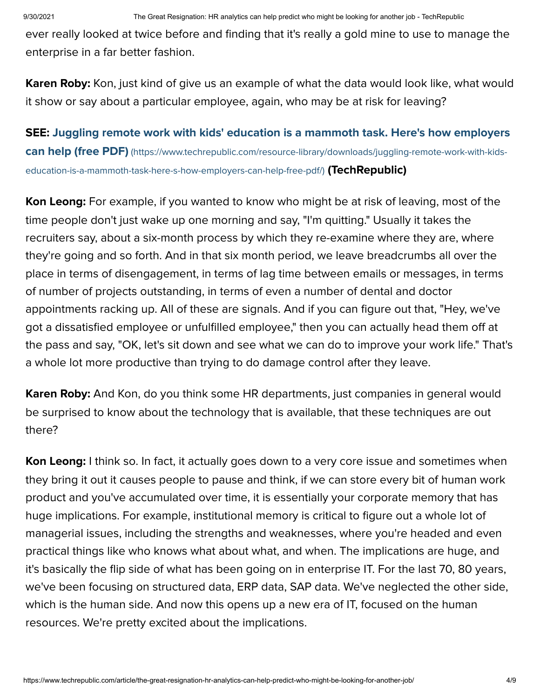ever really looked at twice before and finding that it's really a gold mine to use to manage the enterprise in a far better fashion.

**Karen Roby:** Kon, just kind of give us an example of what the data would look like, what would it show or say about a particular employee, again, who may be at risk for leaving?

[SEE: Juggling remote work with kids' education is a mammoth task. Here's how employers](https://www.techrepublic.com/resource-library/downloads/juggling-remote-work-with-kids-education-is-a-mammoth-task-here-s-how-employers-can-help-free-pdf/) can help (free PDF) (https://www.techrepublic.com/resource-library/downloads/juggling-remote-work-with-kidseducation-is-a-mammoth-task-here-s-how-employers-can-help-free-pdf/) (TechRepublic)

**Kon Leong:** For example, if you wanted to know who might be at risk of leaving, most of the time people don't just wake up one morning and say, "I'm quitting." Usually it takes the recruiters say, about a six-month process by which they re-examine where they are, where they're going and so forth. And in that six month period, we leave breadcrumbs all over the place in terms of disengagement, in terms of lag time between emails or messages, in terms of number of projects outstanding, in terms of even a number of dental and doctor appointments racking up. All of these are signals. And if you can figure out that, "Hey, we've got a dissatisfied employee or unfulfilled employee," then you can actually head them off at the pass and say, "OK, let's sit down and see what we can do to improve your work life." That's a whole lot more productive than trying to do damage control after they leave.

**Karen Roby:** And Kon, do you think some HR departments, just companies in general would be surprised to know about the technology that is available, that these techniques are out there?

Kon Leong: I think so. In fact, it actually goes down to a very core issue and sometimes when they bring it out it causes people to pause and think, if we can store every bit of human work product and you've accumulated over time, it is essentially your corporate memory that has huge implications. For example, institutional memory is critical to figure out a whole lot of managerial issues, including the strengths and weaknesses, where you're headed and even practical things like who knows what about what, and when. The implications are huge, and it's basically the flip side of what has been going on in enterprise IT. For the last 70, 80 years, we've been focusing on structured data, ERP data, SAP data. We've neglected the other side, which is the human side. And now this opens up a new era of IT, focused on the human resources. We're pretty excited about the implications.